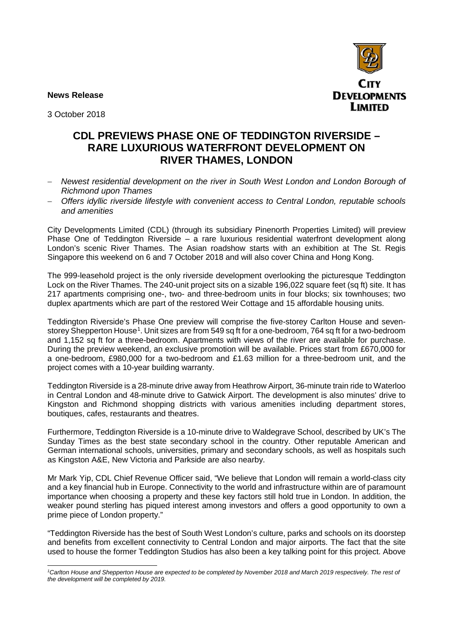**News Release** 



3 October 2018

## **CDL PREVIEWS PHASE ONE OF TEDDINGTON RIVERSIDE – RARE LUXURIOUS WATERFRONT DEVELOPMENT ON RIVER THAMES, LONDON**

- − *Newest residential development on the river in South West London and London Borough of Richmond upon Thames*
- − *Offers idyllic riverside lifestyle with convenient access to Central London, reputable schools and amenities*

City Developments Limited (CDL) (through its subsidiary Pinenorth Properties Limited) will preview Phase One of Teddington Riverside – a rare luxurious residential waterfront development along London's scenic River Thames. The Asian roadshow starts with an exhibition at The St. Regis Singapore this weekend on 6 and 7 October 2018 and will also cover China and Hong Kong.

The 999-leasehold project is the only riverside development overlooking the picturesque Teddington Lock on the River Thames. The 240-unit project sits on a sizable 196,022 square feet (sq ft) site. It has 217 apartments comprising one-, two- and three-bedroom units in four blocks; six townhouses; two duplex apartments which are part of the restored Weir Cottage and 15 affordable housing units.

Teddington Riverside's Phase One preview will comprise the five-storey Carlton House and sevenstorey Shepperton House<sup>1</sup>. Unit sizes are from 549 sq ft for a one-bedroom, 764 sq ft for a two-bedroom and 1,152 sq ft for a three-bedroom. Apartments with views of the river are available for purchase. During the preview weekend, an exclusive promotion will be available. Prices start from £670,000 for a one-bedroom, £980,000 for a two-bedroom and £1.63 million for a three-bedroom unit, and the project comes with a 10-year building warranty.

Teddington Riverside is a 28-minute drive away from Heathrow Airport, 36-minute train ride to Waterloo in Central London and 48-minute drive to Gatwick Airport. The development is also minutes' drive to Kingston and Richmond shopping districts with various amenities including department stores, boutiques, cafes, restaurants and theatres.

Furthermore, Teddington Riverside is a 10-minute drive to Waldegrave School, described by UK's The Sunday Times as the best state secondary school in the country. Other reputable American and German international schools, universities, primary and secondary schools, as well as hospitals such as Kingston A&E, New Victoria and Parkside are also nearby.

Mr Mark Yip, CDL Chief Revenue Officer said, "We believe that London will remain a world-class city and a key financial hub in Europe. Connectivity to the world and infrastructure within are of paramount importance when choosing a property and these key factors still hold true in London. In addition, the weaker pound sterling has piqued interest among investors and offers a good opportunity to own a prime piece of London property."

"Teddington Riverside has the best of South West London's culture, parks and schools on its doorstep and benefits from excellent connectivity to Central London and major airports. The fact that the site used to house the former Teddington Studios has also been a key talking point for this project. Above

*1 Carlton House and Shepperton House are expected to be completed by November 2018 and March 2019 respectively. The rest of the development will be completed by 2019.*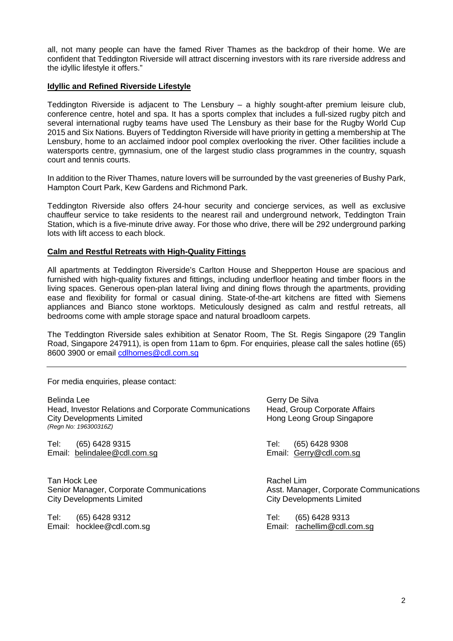all, not many people can have the famed River Thames as the backdrop of their home. We are confident that Teddington Riverside will attract discerning investors with its rare riverside address and the idyllic lifestyle it offers."

### **Idyllic and Refined Riverside Lifestyle**

Teddington Riverside is adjacent to The Lensbury – a highly sought-after premium leisure club, conference centre, hotel and spa. It has a sports complex that includes a full-sized rugby pitch and several international rugby teams have used The Lensbury as their base for the Rugby World Cup 2015 and Six Nations. Buyers of Teddington Riverside will have priority in getting a membership at The Lensbury, home to an acclaimed indoor pool complex overlooking the river. Other facilities include a watersports centre, gymnasium, one of the largest studio class programmes in the country, squash court and tennis courts.

In addition to the River Thames, nature lovers will be surrounded by the vast greeneries of Bushy Park, Hampton Court Park, Kew Gardens and Richmond Park.

Teddington Riverside also offers 24-hour security and concierge services, as well as exclusive chauffeur service to take residents to the nearest rail and underground network, Teddington Train Station, which is a five-minute drive away. For those who drive, there will be 292 underground parking lots with lift access to each block.

#### **Calm and Restful Retreats with High-Quality Fittings**

All apartments at Teddington Riverside's Carlton House and Shepperton House are spacious and furnished with high-quality fixtures and fittings, including underfloor heating and timber floors in the living spaces. Generous open-plan lateral living and dining flows through the apartments, providing ease and flexibility for formal or casual dining. State-of-the-art kitchens are fitted with Siemens appliances and Bianco stone worktops. Meticulously designed as calm and restful retreats, all bedrooms come with ample storage space and natural broadloom carpets.

The Teddington Riverside sales exhibition at Senator Room, The St. Regis Singapore (29 Tanglin Road, Singapore 247911), is open from 11am to 6pm. For enquiries, please call the sales hotline (65) 8600 3900 or email cdlhomes@cdl.com.sg

For media enquiries, please contact:

| Belinda Lee<br>Head, Investor Relations and Corporate Communications<br>City Developments Limited<br>(Regn No: 196300316Z) | Gerry De Silva<br>Head, Group Corporate Affairs<br>Hong Leong Group Singapore |
|----------------------------------------------------------------------------------------------------------------------------|-------------------------------------------------------------------------------|
| Tel:                                                                                                                       | (65) 6428 9308                                                                |
| (65) 6428 9315                                                                                                             | Tel:                                                                          |
| Email: belindalee@cdl.com.sg                                                                                               | Email: Gerry@cdl.com.sg                                                       |
| Tan Hock Lee                                                                                                               | Rachel Lim                                                                    |
| Senior Manager, Corporate Communications                                                                                   | Asst. Manager, Corporate Communications                                       |
| <b>City Developments Limited</b>                                                                                           | <b>City Developments Limited</b>                                              |
| Tel:<br>(65) 6428 9312<br>Email: hocklee@cdl.com.sg                                                                        | (65) 6428 9313<br>Tel:<br>rachellim@cdl.com.sg<br>Email:                      |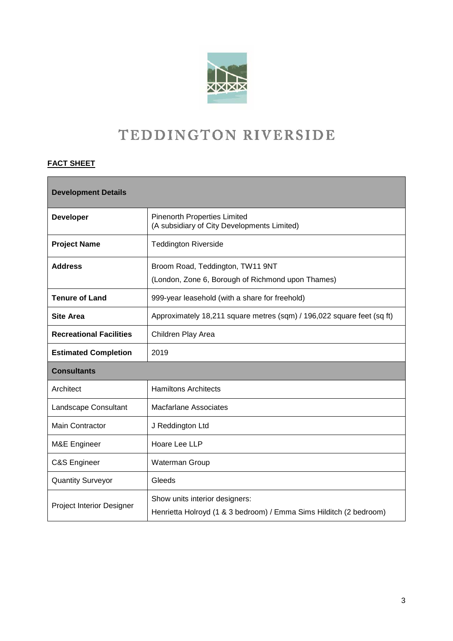

# TEDDINGTON RIVERSIDE

## **FACT SHEET**

| <b>Development Details</b>     |                                                                                                      |
|--------------------------------|------------------------------------------------------------------------------------------------------|
| <b>Developer</b>               | <b>Pinenorth Properties Limited</b><br>(A subsidiary of City Developments Limited)                   |
| <b>Project Name</b>            | <b>Teddington Riverside</b>                                                                          |
| <b>Address</b>                 | Broom Road, Teddington, TW11 9NT                                                                     |
|                                | (London, Zone 6, Borough of Richmond upon Thames)                                                    |
| <b>Tenure of Land</b>          | 999-year leasehold (with a share for freehold)                                                       |
| <b>Site Area</b>               | Approximately 18,211 square metres (sqm) / 196,022 square feet (sq ft)                               |
| <b>Recreational Facilities</b> | Children Play Area                                                                                   |
| <b>Estimated Completion</b>    | 2019                                                                                                 |
| <b>Consultants</b>             |                                                                                                      |
| Architect                      | <b>Hamiltons Architects</b>                                                                          |
| Landscape Consultant           | <b>Macfarlane Associates</b>                                                                         |
| <b>Main Contractor</b>         | J Reddington Ltd                                                                                     |
| M&E Engineer                   | Hoare Lee LLP                                                                                        |
| C&S Engineer                   | Waterman Group                                                                                       |
| <b>Quantity Surveyor</b>       | Gleeds                                                                                               |
| Project Interior Designer      | Show units interior designers:<br>Henrietta Holroyd (1 & 3 bedroom) / Emma Sims Hilditch (2 bedroom) |